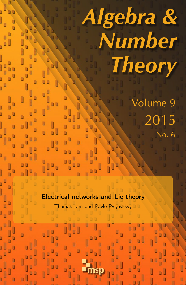# Algebra & Number **Theory** Volume 9 2015 No. 6 Electrical networks and Lie theory Thomas Lam and Pavlo Pylyavskyy Ó msp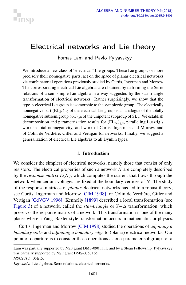

## <span id="page-1-0"></span>Electrical networks and Lie theory

Thomas Lam and Pavlo Pylyavskyy

We introduce a new class of "electrical" Lie groups. These Lie groups, or more precisely their nonnegative parts, act on the space of planar electrical networks via combinatorial operations previously studied by Curtis, Ingerman and Morrow. The corresponding electrical Lie algebras are obtained by deforming the Serre relations of a semisimple Lie algebra in a way suggested by the star-triangle transformation of electrical networks. Rather surprisingly, we show that the type *A* electrical Lie group is isomorphic to the symplectic group. The electrically nonnegative part  $(EL_{2n})_{\geq 0}$  of the electrical Lie group is an analogue of the totally nonnegative subsemigroup  $(U_n)_{\geq 0}$  of the unipotent subgroup of  $SL_n$ . We establish decomposition and parametrization results for  $(EL_{2n})_{\geq 0}$ , paralleling Lusztig's work in total nonnegativity, and work of Curtis, Ingerman and Morrow and of Colin de Verdière, Gitler and Vertigan for networks. Finally, we suggest a generalization of electrical Lie algebras to all Dynkin types.

#### 1. Introduction

We consider the simplest of electrical networks, namely those that consist of only resistors. The electrical properties of such a network *N* are completely described by the *response matrix*  $L(N)$ , which computes the current that flows through the network when certain voltages are fixed at the boundary vertices of *N*. The study of the response matrices of *planar* electrical networks has led to a robust theory; see Curtis, Ingerman and Morrow [\[CIM 1998\]](#page-17-0), or Colin de Verdière, Gitler and Vertigan [\[CdVGV 1996\]](#page-17-1). Kennelly [\[1899\]](#page-18-0) described a local transformation (see [Figure 3\)](#page-5-0) of a network, called the *star-triangle* or *Y*−∆ transformation, which preserves the response matrix of a network. This transformation is one of the many places where a Yang–Baxter-style transformation occurs in mathematics or physics.

Curtis, Ingerman and Morrow [\[CIM 1998\]](#page-17-0) studied the operations of *adjoining a boundary spike* and *adjoining a boundary edge* to (planar) electrical networks. Our point of departure is to consider these operations as one-parameter subgroups of a

Lam was partially supported by NSF grant DMS-0901111, and by a Sloan Fellowship. Pylyavskyy was partially supported by NSF grant DMS-0757165.

*MSC2010:* 05E15.

*Keywords:* Lie algebras, Serre relations, electrical networks.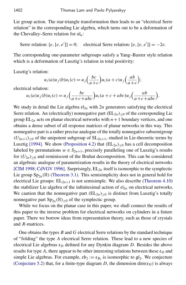Lie group action. The star-triangle transformation then leads to an "electrical Serre relation" in the corresponding Lie algebra, which turns out to be a deformation of the Chevalley–Serre relation for sl*n*:

Serre relation:  $[e, [e, e']] = 0$ ; electrical Serre relation:  $[e, [e, e']] = -2e$ .

The corresponding one-parameter subgroups satisfy a Yang–Baxter style relation which is a deformation of Lusztig's relation in total positivity:

Lusztig's relation:

$$
u_i(a)u_j(b)u_i(c) = u_j\left(\frac{bc}{a+c}\right)u_i(a+c)u_j\left(\frac{ab}{a+c}\right);
$$

electrical relation:

$$
u_i(a)u_j(b)u_i(c) = u_j\left(\frac{bc}{a+c+abc}\right)u_i(a+c+abc)u_j\left(\frac{ab}{a+c+abc}\right).
$$

We study in detail the Lie algebra  $\epsilon_{2n}$  with 2*n* generators satisfying the electrical Serre relation. An (electrically) nonnegative part  $(EL_{2n})_{\geq 0}$  of the corresponding Lie group  $EL_{2n}$  acts on planar electrical networks with  $n+1$  boundary vertices, and one obtains a dense subset of all response matrices of planar networks in this way. This nonnegative part is a rather precise analogue of the totally nonnegative subsemigroup  $(U_{2n+1})_{\geq 0}$  of the unipotent subgroup of  $SL_{2n+1}$ , studied in Lie-theoretic terms by Lusztig [\[1994\]](#page-18-1). We show [\(Proposition 4.2\)](#page-8-0) that  $(EL_{2n})_{\geq 0}$  has a cell decomposition labeled by permutations  $w \in S_{2n+1}$ , precisely paralleling one of Lusztig's results for  $(U_{2n})_{\geq 0}$  and reminiscent of the Bruhat decomposition. This can be considered an algebraic analogue of parametrization results in the theory of electrical networks [\[CIM 1998;](#page-17-0) [CdVGV 1996\]](#page-17-1). Surprisingly,  $EL_{2n}$  itself is isomorphic to the symplectic Lie group  $Sp_{2n}(\mathbb{R})$  [\(Theorem 3.1\)](#page-5-1). This semisimplicity does not in general hold for electrical Lie groups:  $EL_{2n+1}$  is not semisimple. We also describe [\(Theorem 4.10\)](#page-13-0) the stabilizer Lie algebra of the infinitesimal action of  $\mathfrak{el}_{2n}$  on electrical networks. We caution that the nonnegative part  $(EL_{2n})_{\geq 0}$  is distinct from Lusztig's totally nonnegative part  $Sp_{2n}(\mathbb{R})_{\geq 0}$  of the symplectic group.

While we focus on the planar case in this paper, we shall connect the results of this paper to the inverse problem for electrical networks on cylinders in a future paper. There we borrow ideas from representation theory, such as those of crystals and *R*-matrices.

One obtains the types *B* and *G* electrical Serre relations by the standard technique of "folding" the type *A* electrical Serre relation. These lead to a new species of electrical Lie algebras  $\mathfrak{e}_D$  defined for any Dynkin diagram *D*. Besides the above results for type A, there appear to be other interesting relations between these  $\mathfrak{e}_D$  and simple Lie algebras. For example,  $\epsilon \mathfrak{b}_2 := \epsilon_{B_2}$  is isomorphic to  $\mathfrak{gl}_2$ . We conjecture [\(Conjecture 5.2\)](#page-15-0) that, for a finite-type diagram *D*, the dimension  $\dim(\mathfrak{e}_D)$  is always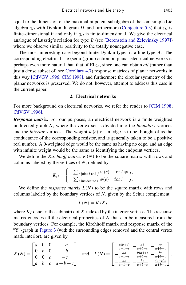equal to the dimension of the maximal nilpotent subalgebra of the semisimple Lie algebra  $g_D$  with Dynkin diagram *D*, and furthermore [\(Conjecture 5.3\)](#page-15-1) that  $\epsilon_D$  is finite-dimensional if and only if  $\mathfrak{g}_D$  is finite-dimensional. We give the electrical analogue of Lusztig's relation for type *B* (see [\[Berenstein and Zelevinsky 1997\]](#page-17-2)) where we observe similar positivity to the totally nonnegative case.

The most interesting case beyond finite Dynkin types is affine type *A*. The corresponding electrical Lie (semi-)group action on planar electrical networks is perhaps even more natural than that of  $EL_{2n}$ , since one can obtain *all* (rather than just a dense subset of; see [Corollary 4.7\)](#page-12-0) response matrices of planar networks in this way [\[CdVGV 1996;](#page-17-1) [CIM 1998\]](#page-17-0), and furthermore the circular symmetry of the planar networks is preserved. We do not, however, attempt to address this case in the current paper.

#### 2. Electrical networks

<span id="page-3-0"></span>For more background on electrical networks, we refer the reader to [\[CIM 1998;](#page-17-0) [CdVGV 1996\]](#page-17-1).

*Response matrix.* For our purposes, an electrical network is a finite weighted undirected graph *N*, where the vertex set is divided into the *boundary* vertices and the *interior* vertices. The weight  $w(e)$  of an edge is to be thought of as the conductance of the corresponding resistor, and is generally taken to be a positive real number. A 0-weighted edge would be the same as having no edge, and an edge with infinite weight would be the same as identifying the endpoint vertices.

We define the *Kirchhoff matrix*  $K(N)$  to be the square matrix with rows and columns labeled by the vertices of *N*, defined by

$$
K_{ij} = \begin{cases} -\sum_{e \text{ joins } i \text{ and } j} w(e) & \text{for } i \neq j, \\ \sum_{e \text{ incident to } i} w(e) & \text{for } i = j. \end{cases}
$$

We define the *response matrix*  $L(N)$  to be the square matrix with rows and columns labeled by the boundary vertices of *N*, given by the Schur complement

$$
L(N) = K/K_I
$$

where  $K_I$  denotes the submatrix of  $K$  indexed by the interior vertices. The response matrix encodes all the electrical properties of *N* that can be measured from the boundary vertices. For example, the Kirchhoff matrix and response matrix of the "Y"-graph in [Figure 3](#page-5-0) (with the surrounding edges removed and the central vertex made interior), are given by

$$
K(N) = \begin{bmatrix} a & 0 & 0 & -a \\ 0 & b & 0 & -b \\ 0 & 0 & c & -c \\ a & b & c & a+b+c \end{bmatrix} \text{ and } L(N) = \begin{bmatrix} \frac{a(b+c)}{a+b+c} & -\frac{ab}{a+b+c} & -\frac{ac}{a+b+c} \\ -\frac{ab}{a+b+c} & \frac{b(a+c)}{a+b+c} & -\frac{bc}{a+b+c} \\ -\frac{ac}{a+b+c} & -\frac{bc}{a+b+c} & \frac{(a+b)c}{a+b+c} \end{bmatrix}
$$

.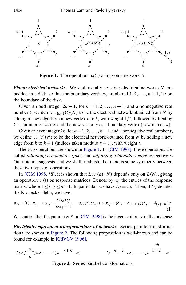<span id="page-4-0"></span>

**Figure 1.** The operations  $v_i(t)$  acting on a network N.

*Planar electrical networks.* We shall usually consider electrical networks *N* embedded in a disk, so that the boundary vertices, numbered  $1, 2, \ldots, n+1$ , lie on the boundary of the disk.

Given an odd integer  $2k - 1$ , for  $k = 1, 2, ..., n + 1$ , and a nonnegative real number *t*, we define  $v_{2k-1}(t)(N)$  to be the electrical network obtained from *N* by adding a new edge from a new vertex v to  $k$ , with weight  $1/t$ , followed by treating  $k$  as an interior vertex and the new vertex  $v$  as a boundary vertex (now named  $k$ ).

Given an even integer  $2k$ , for  $k = 1, 2, ..., n+1$ , and a nonnegative real number *t*, we define  $v_{2k}(t)(N)$  to be the electrical network obtained from N by adding a new edge from *k* to  $k + 1$  (indices taken modulo  $n + 1$ ), with weight *t*.

The two operations are shown in [Figure 1.](#page-4-0) In [\[CIM 1998\]](#page-17-0), these operations are called *adjoining a boundary spike*, and *adjoining a boundary edge* respectively. Our notation suggests, and we shall establish, that there is some symmetry between these two types of operations.

In [\[CIM 1998,](#page-17-0) §8], it is shown that  $L(v_i(a) \cdot N)$  depends only on  $L(N)$ , giving an operation  $v_i(t)$  on response matrices. Denote by  $x_{ij}$  the entries of the response matrix, where  $1 \le i, j \le n+1$ . In particular, we have  $x_{ij} = x_{ji}$ . Then, if  $\delta_{ij}$  denotes the Kronecker delta, we have

<span id="page-4-2"></span>
$$
v_{2k-1}(t): x_{ij} \mapsto x_{ij} - \frac{tx_{ik}x_{kj}}{tx_{kk}+1}, \quad v_{2k}(t): x_{ij} \mapsto x_{ij} + (\delta_{ik} - \delta_{(i+1)k})(\delta_{jk} - \delta_{(j+1)k})t.
$$
\n(1)

We caution that the parameter  $\xi$  in [\[CIM 1998\]](#page-17-0) is the inverse of our *t* in the odd case.

*Electrically equivalent transformations of networks.* Series-parallel transformations are shown in [Figure 2.](#page-4-1) The following proposition is well-known and can be found for example in [\[CdVGV 1996\]](#page-17-1).

<span id="page-4-3"></span><span id="page-4-1"></span>

Figure 2. Series-parallel transformations.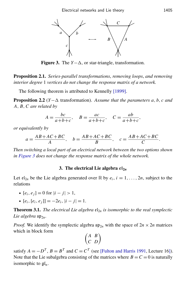<span id="page-5-0"></span>

**Figure 3.** The  $Y-\Delta$ , or star-triangle, transformation.

Proposition 2.1. *Series-parallel transformations*, *removing loops*, *and removing interior degree* 1 *vertices do not change the response matrix of a network.*

The following theorem is attributed to Kennelly [\[1899\]](#page-18-0).

<span id="page-5-3"></span>**Proposition 2.2** (*Y*− $\Delta$  transformation). Assume that the parameters a, b, c and *A*, *B*,*C are related by*

$$
A = \frac{bc}{a+b+c}, \quad B = \frac{ac}{a+b+c}, \quad C = \frac{ab}{a+b+c},
$$

*or equivalently by*

$$
a = \frac{AB + AC + BC}{A}, \quad b = \frac{AB + AC + BC}{B}, \quad c = \frac{AB + AC + BC}{C}.
$$

*Then switching a local part of an electrical network between the two options shown in [Figure 3](#page-5-0) does not change the response matrix of the whole network.*

#### 3. The electrical Lie algebra  $\mathfrak{el}_{2n}$

<span id="page-5-2"></span>Let  $\mathfrak{el}_{2n}$  be the Lie algebra generated over  $\mathbb R$  by  $e_i$ ,  $i = 1, \ldots, 2n$ , subject to the relations

• 
$$
[e_i, e_j] = 0
$$
 for  $|i - j| > 1$ ,

•  $[e_i, [e_i, e_j]] = -2e_i, |i - j| = 1.$ 

<span id="page-5-1"></span>**Theorem 3.1.** *The electrical Lie algebra*  $\mathfrak{e}l_{2n}$  *is isomorphic to the real symplectic* Lie algebra  $\mathfrak{sp}_{2n}$ .

*Proof.* We identify the symplectic algebra  $\mathfrak{sp}_{2n}$  with the space of  $2n \times 2n$  matrices which in block form

$$
\begin{pmatrix} A & B \\ C & D \end{pmatrix}
$$

satisfy  $A = -D^T$ ,  $B = B^T$  and  $C = C^T$  (see [\[Fulton and Harris 1991,](#page-17-3) Lecture 16]). Note that the Lie subalgebra consisting of the matrices where  $B = C = 0$  is naturally isomorphic to  $\mathfrak{gl}_n$ .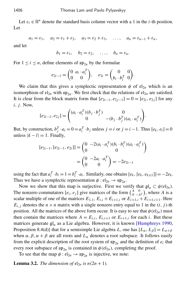Let  $\varepsilon_i \in \mathbb{R}^n$  denote the standard basis column vector with a 1 in the *i*-th position. Let

$$
a_1 = \varepsilon_1
$$
,  $a_2 = \varepsilon_1 + \varepsilon_2$ ,  $a_3 = \varepsilon_2 + \varepsilon_3$ , ...,  $a_n = \varepsilon_{n-1} + \varepsilon_n$ ,

and let

 $b_1 = \varepsilon_1$ ,  $b_2 = \varepsilon_2$ , ...,  $b_n = \varepsilon_n$ .

For  $1 \le i \le n$ , define elements of  $\mathfrak{sp}_{2n}$  by the formulae

$$
e_{2i-1} = \begin{pmatrix} 0 & a_i \cdot a_i^T \\ 0 & 0 \end{pmatrix}, \quad e_{2i} = \begin{pmatrix} 0 & 0 \\ b_i \cdot b_i^T & 0 \end{pmatrix}.
$$

We claim that this gives a symplectic representation  $\phi$  of  $\mathfrak{el}_{2n}$  which is an isomorphism of  $\mathfrak{el}_{2n}$  with  $\mathfrak{sp}_{2n}$ . We first check that the relations of  $\mathfrak{el}_{2n}$  are satisfied. It is clear from the block matrix form that  $[e_{2i-1}, e_{2i-1}] = 0 = [e_{2i}, e_{2i}]$  for any *i*, *j*. Now,

$$
[e_{2i-1}, e_{2j}] = \begin{pmatrix} (a_i \cdot a_i^T)(b_j \cdot b_j^T) & 0 \\ 0 & -(b_j \cdot b_j^T)(a_i \cdot a_i^T) \end{pmatrix}.
$$

But, by construction,  $b_j^T \cdot a_i = 0 = a_i^T \cdot b_j$  unless  $j = i$  or  $j = i - 1$ . Thus  $[e_k, e_l] = 0$ unless  $|k - l| = 1$ . Finally,

$$
[e_{2i-1}, [e_{2i-1}, e_{2i}]] = \begin{pmatrix} 0 & -2(a_i \cdot a_i^T)(b_i \cdot b_i^T)(a_i \cdot a_i^T) \\ 0 & 0 \end{pmatrix}
$$

$$
= \begin{pmatrix} 0 & -2a_i \cdot a_i^T \\ 0 & 0 \end{pmatrix} = -2e_{2i-1}
$$

using the fact that  $a_i^T \cdot b_i = 1 = b_i^T \cdot a_i$ . Similarly, one obtains  $[e_k, [e_k, e_{k\pm 1}]] = -2e_k$ . Thus we have a symplectic representation  $\phi : \mathfrak{el}_{2n} \to \mathfrak{sp}_{2n}$ .

Now we show that this map is surjective. First we verify that  $\mathfrak{gl}_n \subset \phi(\mathfrak{el}_{2n})$ . The nonzero commutators  $[e_i, e_j]$  give matrices of the form  $\binom{A}{0}$  $\boldsymbol{0}$  $\begin{bmatrix} 0 \\ -A^T \end{bmatrix}$ , where *A* is a scalar multiple of one of the matrices  $E_{1,1}$ ,  $E_{i,i} + E_{i+1,i}$  or  $E_{i+1,i} + E_{i+1,i+1}$ . Here  $E_{i,j}$  denotes the  $n \times n$  matrix with a single nonzero entry equal to 1 in the  $(i, j)$ -th position. All the matrices of the above form occur. It is easy to see that  $\phi$  ( $\mathfrak{el}_{2n}$ ) must then contain the matrices where  $A = E_{i,i}$ ,  $E_{i,i+1}$  or  $E_{i+1,i}$  for each *i*. But these matrices generate  $\mathfrak{gl}_n$  as a Lie algebra. However, it is known [\[Humphreys 1990,](#page-18-2) Proposition 8.4(d)] that for a semisimple Lie algebra *L*, one has  $[L_{\alpha}, L_{\beta}] = L_{\alpha+\beta}$ when  $\alpha$ ,  $\beta$ ,  $\alpha + \beta$  are all roots and  $L_{\alpha}$  denotes a root subspace. It follows easily from the explicit description of the root system of  $\mathfrak{sp}_{2n}$  and the definition of  $e_i$  that every root subspace of  $\mathfrak{sp}_{2n}$  is contained in  $\phi(\mathfrak{el}_{2n})$ , completing the proof.

<span id="page-6-0"></span>To see that the map  $\phi : \mathfrak{el}_{2n} \to \mathfrak{sp}_{2n}$  is injective, we note:

**Lemma 3.2.** *The dimension of*  $\mathfrak{el}_{2n}$  *is*  $n(2n + 1)$ *.*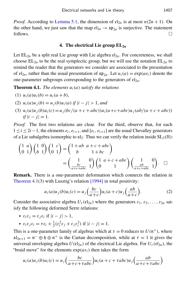*Proof.* According to [Lemma 5.1,](#page-14-0) the dimension of  $\mathfrak{el}_{2n}$  is at most  $n(2n + 1)$ . On the other hand, we just saw that the map  $\mathfrak{el}_{2n} \to \mathfrak{sp}_{2n}$  is surjective. The statement follows.  $\Box$ 

#### 4. The electrical Lie group EL2*<sup>n</sup>*

Let  $EL_{2n}$  be a split real Lie group with Lie algebra  $\mathfrak{el}_{2n}$ . For concreteness, we shall choose  $EL_{2n}$  to be the real symplectic group, but we will use the notation  $EL_{2n}$  to remind the reader that the generators we consider are associated to the presentation of  $\mathfrak{el}_{2n}$ , rather than the usual presentation of  $\mathfrak{sp}_{2n}$ . Let  $u_i(a) = \exp(a e_i)$  denote the one-parameter subgroups corresponding to the generators of  $\mathfrak{el}_{2n}$ .

<span id="page-7-0"></span>**Theorem 4.1.** *The elements*  $u_i(a)$  *satisfy the relations* 

(1) 
$$
u_i(a)u_i(b) = u_i(a+b)
$$
,

(2) 
$$
u_i(a)u_j(b) = u_j(b)u_i(a)
$$
 if  $|i - j| > 1$ , and

(3)  $u_i(a)u_j(b)u_i(c) = u_j(bc/(a+c+abc))u_i(a+c+abc)u_j(ab/(a+c+abc))$  $if |i - j| = 1.$ 

*Proof.* The first two relations are clear. For the third, observe that, for each  $1 \leq i \leq 2i-1$ , the elements  $e_i, e_{i+1}$ , and  $[e_i, e_{i+1}]$  are the usual Chevalley generators of a Lie subalgebra isomorphic to  $\mathfrak{sl}_2$ . Thus we can verify the relation inside  $SL_2(\mathbb{R})$ :

$$
\begin{pmatrix} 1 & a \\ 0 & 1 \end{pmatrix} \begin{pmatrix} 1 & 0 \\ b & 1 \end{pmatrix} \begin{pmatrix} 1 & c \\ 0 & 1 \end{pmatrix} = \begin{pmatrix} 1 + ab & a + c + abc \\ b & 1 + bc \end{pmatrix}
$$

$$
= \begin{pmatrix} 1 & 0 \\ \frac{bc}{a + c + abc} & 1 \end{pmatrix} \begin{pmatrix} 1 & a + c + abc \\ 0 & 1 \end{pmatrix} \begin{pmatrix} 1 & 0 \\ \frac{ab}{a + c + abc} & 1 \end{pmatrix}.
$$

Remark. There is a one-parameter deformation which connects the relation in [Theorem 4.1\(](#page-7-0)3) with Lusztig's relation [\[1994\]](#page-18-1) in total positivity:

<span id="page-7-1"></span>
$$
u_i(a)u_j(b)u_i(c) = u_j\left(\frac{bc}{a+c}\right)u_i(a+c)u_j\left(\frac{ab}{a+c}\right).
$$
 (2)

Consider the associative algebra  $U_{\tau}(\mathfrak{el}_{2n})$  where the generators  $\varepsilon_1, \varepsilon_2, \ldots, \varepsilon_{2n}$  satisfy the following deformed Serre relations:

- $\varepsilon_i \varepsilon_j = \varepsilon_j \varepsilon_i$  if  $|i j| > 1$ ,
- $\varepsilon_i \varepsilon_j \varepsilon_i = \tau \varepsilon_i + \frac{1}{2}$  $\frac{1}{2}(\varepsilon_i^2 \varepsilon_j + \varepsilon_j \varepsilon_i^2)$  if  $|i - j| = 1$ .

This is a one-parameter family of algebras which at  $\tau = 0$  reduces to  $U(\mathfrak{n}^+)$ , where  $\mathfrak{sl}_{2n+1} = \mathfrak{n}^- \oplus \mathfrak{h} \oplus \mathfrak{n}^+$  is the Cartan decomposition, while at  $\tau = 1$  it gives the universal enveloping algebra  $U(\mathfrak{el}_{2n})$  of the electrical Lie algebra. For  $U_{\tau}(\mathfrak{el}_{2n})$ , the "braid move" for the elements  $exp(a\epsilon_i)$  then takes the form

$$
u_i(a)u_j(b)u_i(c) = u_j\left(\frac{bc}{a+c+\tau abc}\right)u_i(a+c+\tau abc)u_j\left(\frac{ab}{a+c+\tau abc}\right)
$$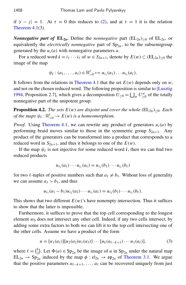if  $|i - j| = 1$ . At  $\tau = 0$  this reduces to [\(2\),](#page-7-1) and at  $\tau = 1$  it is the relation Theorem  $4.1(3)$ .

*Nonnegative part of*  $EL_{2n}$ *.* Define the *nonnegative* part  $(EL_{2n})_{\geq 0}$  of  $EL_{2n}$ *,* or equivalently the *electrically nonnegative* part of  $Sp_{2n}$ , to be the subsemigroup generated by the  $u_i(a)$  with nonnegative parameters  $a$ .

For a reduced word  $\mathbf{i} = i_1 \cdots i_\ell$  of  $w \in S_{2n+1}$ , denote by  $E(w) \subset (EL_{2n})_{\geq 0}$  the image of the map

$$
\psi_i:(a_1,\ldots,a_\ell)\in\mathbb{R}_{>0}^\ell\mapsto u_{i_1}(a_1)\ldots u_{i_\ell}(a_\ell).
$$

It follows from the relations in [Theorem 4.1](#page-7-0) that the set  $E(w)$  depends only on w, and not on the chosen reduced word. The following proposition is similar to [\[Lusztig](#page-18-1) [1994,](#page-18-1) Proposition 2.7], which gives a decomposition  $U_{\geq 0} = \bigsqcup_{w} U_{\geq 0}^w$  of the totally nonnegative part of the unipotent group.

<span id="page-8-0"></span>**Proposition 4.2.** *The sets*  $E(w)$  *are disjoint and cover the whole* ( $EL_{2n}>0$ *. Each of the maps*  $\psi_i : \mathbb{R}_{>0}^{\ell} \to E(w)$  *is a homeomorphism.* 

*Proof.* Using [Theorem 4.1,](#page-7-0) we can rewrite any product of generators  $u_i(a)$  by performing braid moves similar to those in the symmetric group  $S_{2n+1}$ . Any product of the generators can be transformed into a product that corresponds to a reduced word in  $S_{2n+1}$ , and thus it belongs to one of the  $E(w)$ .

If the map  $\psi_i$  is not injective for some reduced word  $i$ , then we can find two reduced products

$$
u_{i_1}(a_1)\cdots u_{i_\ell}(a_\ell) = u_{i_1}(b_1)\cdots u_{i_\ell}(b_\ell)
$$

for two  $\ell$ -tuples of positive numbers such that  $a_1 \neq b_1$ . Without loss of generality we can assume  $a_1 > b_1$ , and thus

$$
u_{i_1}(a_1-b_1)u_{i_2}(a_2)\cdots u_{i_\ell}(a_\ell)=u_{i_2}(b_2)\cdots u_{i_\ell}(b_\ell).
$$

This shows that two different  $E(w)$ 's have nonempty intersection. Thus it suffices to show that the latter is impossible.

Furthermore, it suffices to prove that the top cell corresponding to the longest element  $w_0$  does not intersect any other cell. Indeed, if any two cells intersect, by adding some extra factors to both we can lift it to the top cell intersecting one of the other cells. Assume we have a product of the form

<span id="page-8-1"></span>
$$
u = [u_1(a_1)][u_2(a_2)u_1(a_3)]\cdots[u_k(a_{\ell-k+1})\cdots u_1(a_{\ell})],
$$
\n(3)

where  $\ell = \binom{k}{2}$  $\binom{k}{2}$ . Let  $\Phi(u) \in \text{Sp}_{2n}$  be the image of *u* in Sp<sub>2*n*</sub> under the natural map  $EL_{2n} \rightarrow Sp_{2n}$  induced by the map  $\phi : \mathfrak{el}_{2n} \rightarrow \mathfrak{sp}_{2n}$  of [Theorem 3.1.](#page-5-1) We argue that the positive parameters  $a_{\ell-k+1}, \ldots, a_{\ell}$  can be recovered uniquely from just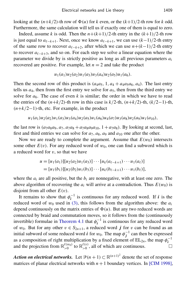looking at the  $(n+k/2)$ -th row of  $\Phi(u)$  for *k* even, or the  $(k+1)/2$ -th row for *k* odd. Furthermore, the same calculation will tell us if exactly one of them is equal to zero.

Indeed, assume *k* is odd. Then the  $n+(k+1)/2$ -th entry in the  $(k+1)/2$ -th row is just equal to  $a_{\ell-k+1}$ . Next, once we know  $a_{\ell-k+1}$ , we can use  $(k-1)/2$ -th entry of the same row to recover  $a_{\ell-k+2}$ , after which we can use  $n+(k-1)/2$ -th entry to recover  $a_{\ell-k+3}$ , and so on. For each step we solve a linear equation where the parameter we divide by is strictly positive as long as all previous parameters *a<sup>i</sup>* recovered are positive. For example, let  $n = 2$  and take the product

$$
u_1(a_1)u_2(a_2)u_1(a_3)u_3(a_4)u_2(a_5)u_1(a_6).
$$

Then the second row of this product is  $(a_4a_5, 1, a_4 + a_4a_5a_6, a_4)$ . The last entry tells us  $a_4$ , then from the first entry we solve for  $a_5$ , then from the third entry we solve for  $a_6$ . The case of even k is similar; the order in which we have to read the entries of the  $(n+k/2)$ -th row in this case is  $k/2$ -th,  $(n+k/2)$ -th,  $(k/2-1)$ -th, (*n*+*k*/2−1)-th, etc. For example, in the product

$$
u_1(a_1)u_2(a_2)u_1(a_3)u_3(a_4)u_2(a_5)u_1(a_6)u_4(a_7)u_3(a_8)u_2(a_9)u_1(a_{10}),
$$

the last row is  $(a_7a_8a_9, a_7, a_7a_8 + a_7a_8a_9a_{10}, 1 + a_7a_8)$ . By looking at second, last, first and third entries we can solve for  $a_7$ ,  $a_8$ ,  $a_9$  and  $a_{10}$  one after the other.

Now we are ready to complete the argument. Assume that  $E(w_0)$  intersects some other  $E(v)$ . For any reduced word of  $w_0$ , one can find a subword which is a reduced word for  $v$ , so that we have

$$
u = [u_1(a_1)][u_2(a_2)u_1(a_3)] \cdots [u_k(a_{\ell-k+1})\cdots u_1(a_{\ell})]
$$
  
=  $[u_1(b_1)][u_2(b_2)u_1(b_3)]\cdots [u_k(b_{\ell-k+1})\cdots u_1(b_{\ell})],$ 

where the  $a_i$  are all positive, but the  $b_i$  are nonnegative, with at least one zero. The above algorithm of recovering the  $a_i$  will arrive at a contradiction. Thus  $E(w_0)$  is disjoint from all other  $E(v)$ .

It remains to show that  $\phi_i^{-1}$  $i$ <sup>-1</sup> is continuous for any reduced word. If *i* is the reduced word of  $w_0$  used in [\(3\),](#page-8-1) this follows from the algorithm above: the  $a_i$ depend continuously on the matrix entries of  $\Phi(u)$ . But any two reduced words are connected by braid and commutation moves, so it follows from the (continuously invertible) formulae in [Theorem 4.1](#page-7-0) that  $\phi_i^{-1}$  $i^{\text{-}1}$  is continuous for any reduced word of  $w_0$ . But for any other  $v \in S_{2n+1}$ , a reduced word *j* for v can be found as an initial subword of some reduced word *i* for  $w_0$ . The map  $\phi_i^{-1}$  $j^{\text{-}1}$  can then be expressed as a composition of right multiplication by a fixed element of  $EL_{2n}$ , the map  $\phi_i^{-1}$ *i* and the projection from  $\mathbb{R}^{\ell(w_0)}_{>0}$  $_{>0}^{\ell(w_0)}$  to  $\mathbb{R}_{>0}^{\ell(v)}$  $_{>0}^{\ell(v)}$ , all of which are continuous.

Action on electrical networks. Let  $\mathcal{P}(n+1) \subset \mathbb{R}^{(n+1)^2}$  denote the set of response matrices of planar electrical networks with  $n + 1$  boundary vertices. In [\[CIM 1998\]](#page-17-0),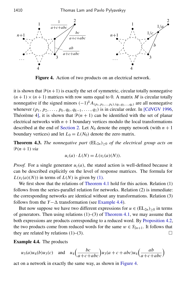<span id="page-10-1"></span>

Figure 4. Action of two products on an electrical network.

it is shown that  $\mathcal{P}(n+1)$  is exactly the set of symmetric, circular totally nonnegative  $(n+1) \times (n+1)$  matrices with row sums equal to 0. A matrix *M* is circular totally nonnegative if the signed minors  $(-1)^k A_{(p_1, p_2,..., p_k),(q_1, q_2,...,q_k)}$  are all nonnegative whenever  $(p_1, p_2, \ldots, p_k, q_k, q_{k-1}, \ldots, q_1)$  is in circular order. In [\[CdVGV 1996,](#page-17-1) Théorème 4], it is shown that  $\mathcal{P}(n + 1)$  can be identified with the set of planar electrical networks with  $n + 1$  boundary vertices modulo the local transformations described at the end of [Section 2.](#page-3-0) Let  $N_0$  denote the empty network (with  $n + 1$ ) boundary vertices) and let  $L_0 = L(N_0)$  denote the zero matrix.

**Theorem 4.3.** *The nonnegative part*  $(EL_{2n})_{>0}$  *of the electrical group acts on*  $\mathcal{P}(n+1)$  *via* 

$$
u_i(a) \cdot L(N) = L(v_i(a)(N)).
$$

*Proof.* For a single generator  $u_i(a)$ , the stated action is well-defined because it can be described explicitly on the level of response matrices. The formula for  $L(v_i(a)(N))$  in terms of  $L(N)$  is given by [\(1\).](#page-4-2)

We first show that the relations of [Theorem 4.1](#page-7-0) hold for this action. Relation (1) follows from the series-parallel relation for networks. Relation (2) is immediate: the corresponding networks are identical without any transformations. Relation (3) follows from the *Y*− $\Delta$  transformation (see [Example 4.4\)](#page-10-0).

But now suppose we have two different expressions for  $u \in (EL_{2n})_{\geq 0}$  in terms of generators. Then using relations  $(1)$ – $(3)$  of [Theorem 4.1,](#page-7-0) we may assume that both expressions are products corresponding to a reduced word. By [Proposition 4.2,](#page-8-0) the two products come from reduced words for the same  $w \in S_{2n+1}$ . It follows that they are related by relations  $(1)$ – $(3)$ .

<span id="page-10-0"></span>Example 4.4. The products

$$
u_3(a)u_4(b)u_3(c)
$$
 and  $u_4\left(\frac{bc}{a+c+abc}\right)u_3(a+c+abc)u_4\left(\frac{ab}{a+c+abc}\right)$ 

act on a network in exactly the same way, as shown in [Figure 4.](#page-10-1)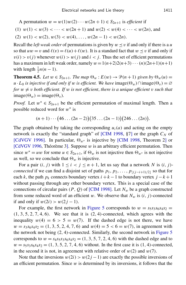A permutation  $w = w(1)w(2) \cdots w(2n + 1) \in S_{2n+1}$  is *efficient* if

(1) 
$$
w(1) < w(3) < \cdots < w(2n+1)
$$
 and  $w(2) < w(4) < \cdots < w(2n)$ , and

$$
(2) w(1) < w(2), w(3) < w(4), \ldots, w(2n-1) < w(2n).
$$

Recall the *left weak order* of permutations is given by  $w \le v$  if and only if there is a *u* so that  $uw = v$  and  $\ell(v) = \ell(u) + \ell(w)$ . It is a standard fact that  $w \le v$  if and only if  $v(i) > v(j)$  whenever  $w(i) > w(j)$  and  $i < j$ . Thus the set of efficient permutations has a maximum in left weak order, namely  $w=1(n+2)2(n+3)\cdots(n)(2n+1)(n+1)$ with length  $\frac{1}{2}n(n-1)$ .

<span id="page-11-0"></span>**Theorem 4.5.** Let  $w \in S_{2n+1}$ . The map  $\Theta_w : E(w) \to \mathcal{P}(n+1)$  given by  $\Theta_w(u) =$ *u* · *L*<sub>0</sub> *is injective if and only if w is efficient. We have image*( $\Theta_w$ )∩image( $\Theta_v$ ) = ∅ *for*  $w \neq v$  *both efficient. If* w *is not efficient, there is a unique efficient* v *such that*  $image(\Theta_w) = image(\Theta_v)$ .

*Proof.* Let  $w^* \in S_{2n+1}$  be the efficient permutation of maximal length. Then a possible reduced word for  $w^*$  is

$$
(n+1)\cdots (46\ldots (2n-2))(35\ldots (2n-1))(246\ldots (2n)).
$$

The graph obtained by taking the corresponding  $u_i(a)$  and acting on the empty network is exactly the "standard graph" of [\[CIM 1998,](#page-17-0)  $\S7$ ] or the graph  $C_N$  of [\[CdVGV 1996\]](#page-17-1). In particular,  $\Theta_{w^*}$  is injective by [\[CIM 1998,](#page-17-0) Theorem 2] or [\[CdVGV 1996,](#page-17-1) Théorème 3]. Suppose  $w$  is an arbitrary efficient permutation. Then since  $w^* = uw$  for some  $u \in S_{2n+1}$ , if  $\Theta_w$  is not injective then  $\Theta_{w^*}$  is not injective as well, so we conclude that  $\Theta_w$  is injective.

For a pair  $(i, j)$  with  $1 \le i < j \le n + 1$ , let us say that a network *N* is  $(i, j)$ *connected* if we can find a disjoint set of paths  $p_1, p_2, \ldots, p_{|(i-i+1)/2|}$  so that for each *k*, the path  $p_k$  connects boundary vertex  $i + k - 1$  to boundary vertex  $j - k + 1$ without passing through any other boundary vertex. This is a special case of the connections of circular pairs ( $P$ ,  $Q$ ) of [\[CIM 1998\]](#page-17-0). Let  $N_w$  be a graph constructed from some reduced word of an efficient w. We observe that  $N_w$  is  $(i, j)$ -connected if and only if  $w(2i) > w(2j - 1)$ .

For example, the first network in [Figure 5](#page-12-1) corresponds to  $w = s_5s_3s_6s_4s_2$  $(1, 3, 5, 2, 7, 4, 6)$ . We see that it is  $(2, 4)$ -connected, which agrees with the inequality  $w(4) = 6 > 5 = w(7)$ . If the dashed edge is not there, we have  $w = s_3 s_6 s_4 s_2 = (1, 3, 5, 2, 4, 7, 6)$  and  $w(4) = 5 < 6 = w(7)$ , in agreement with the network not being (2, 4)-connected. Similarly, the second network in [Figure 5](#page-12-1) corresponds to  $w = s_4 s_5 s_3 s_6 s_4 s_2 = (1, 3, 5, 7, 2, 4, 6)$  with the dashed edge and to  $w = s_5 s_3 s_6 s_4 s_2 = (1, 3, 5, 2, 7, 4, 6)$  without. In the first case it is  $(1, 4)$ -connected, in the second it is not, in agreement with relative order of  $w(2)$  and  $w(7)$ .

Note that the inversions  $w(2i) > w(2j-1)$  are exactly the possible inversions of an efficient permutation. Since  $w$  is determined by its inversions, it follows that the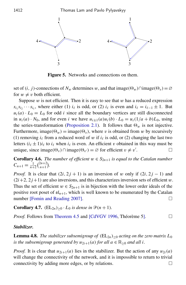<span id="page-12-1"></span>1412 Thomas Lam and Pavlo Pylyavskyy



Figure 5. Networks and connections on them.

set of  $(i, j)$ -connections of  $N_w$  determines w, and that image( $\Theta_w$ )∩image( $\Theta_v$ ) = ∅ for  $w \neq v$  both efficient.

Suppose  $w$  is not efficient. Then it is easy to see that  $w$  has a reduced expression  $s_{i_1} s_{i_2} \cdots s_{i_\ell}$ , where either (1) *i*<sub> $\ell$ </sub> is odd, or (2) *i*<sub> $\ell$ </sub> is even and *i*<sub> $\ell$ </sub> = *i*<sub> $\ell$ -1</sub> ± 1. But  $u_i(a) \cdot L_0 = L_0$  for odd *i* since all the boundary vertices are still disconnected in  $u_i(a) \cdot N_0$ , and for even *i* we have  $u_{i\pm 1}(a)u_i(b) \cdot L_0 = u_i(1/a + b)L_0$ , using the series-transformation [\(Proposition 2.1\)](#page-4-3). It follows that  $\Theta_w$  is not injective. Furthermore, image( $\Theta_w$ ) = image( $\Theta_v$ ), where v is obtained from w by recursively (1) removing  $i_\ell$  from a reduced word of w if  $i_\ell$  is odd, or (2) changing the last two letters  $(i_\ell \pm 1)i_\ell$  to  $i_\ell$  when  $i_\ell$  is even. An efficient v obtained in this way must be unique, since image( $\Theta_v$ ) ∩ image( $\Theta_{v'}$ ) = ∅ for efficient  $v \neq v'$ . — П

**Corollary 4.6.** *The number of efficient*  $w \in S_{2n+1}$  *is equal to the Catalan number*  $C_{n+1} = \frac{1}{n+2} \binom{2n+2}{n+1}$  $\binom{2n+2}{n+1}$ .

*Proof.* It is clear that  $(2i, 2j + 1)$  is an inversion of w only if  $(2i, 2j - 1)$  and  $(2i+2, 2j+1)$  are also inversions, and this characterizes inversion sets of efficient w. Thus the set of efficient  $w \in S_{2n+1}$  is in bijection with the lower order ideals of the positive root poset of  $\mathfrak{sl}_{n+1}$ , which is well known to be enumerated by the Catalan number [\[Fomin and Reading 2007\]](#page-17-4). □

<span id="page-12-0"></span>**Corollary 4.7.** (EL<sub>2*n*</sub>)<sub>≥0</sub> · *L*<sub>0</sub> *is dense in*  $\mathcal{P}(n+1)$ *.* 

*Proof.* Follows from [Theorem 4.5](#page-11-0) and [\[CdVGV 1996,](#page-17-1) Théorème 5]. □

#### *Stabilizer.*

**Lemma 4.8.** *The stabilizer subsemigroup of*  $(EL_{2n})_{\geq 0}$  *acting on the zero matrix*  $L_0$ *is the subsemigroup generated by*  $u_{2i+1}(a)$  *for all*  $a \in \mathbb{R}_{>0}$  *and all i*.

*Proof.* It is clear that  $u_{2i+1}(a)$  lies in the stabilizer. But the action of any  $u_{2i}(a)$ will change the connectivity of the network, and it is impossible to return to trivial connectivity by adding more edges, or by relations.  $\Box$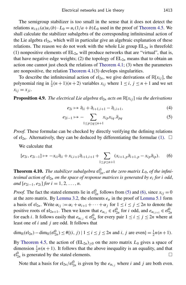The semigroup stabilizer is too small in the sense that it does not detect the relations  $u_{i\pm 1}(a)u_i(b) \cdot L_0 = u_i(1/a + b)L_0$  used in the proof of [Theorem 4.5.](#page-11-0) We shall calculate the stabilizer subalgebra of the corresponding infinitesimal action of the Lie algebra  $\mathfrak{e}l_{2n}$ , which will in particular give an algebraic explanation of these relations. The reason we do not work with the whole Lie group  $EL_{2n}$  is threefold: (1) nonpositive elements of  $EL_{2n}$  will produce networks that are "virtual", that is, that have negative edge weights; (2) the topology of  $EL_{2n}$  means that to obtain an action one cannot just check the relations of [Theorem 4.1;](#page-7-0) (3) when the parameters are nonpositive, the relation [Theorem 4.1\(](#page-7-0)3) develops singularities.

To describe the infinitesimal action of  $\mathfrak{el}_{2n}$ , we give derivations of  $\mathbb{R}[x_{ij}]$ , the polynomial ring in  $\frac{1}{2}(n+1)(n+2)$  variables  $x_{ij}$  where  $1 \le i, j \le n+1$  and we set  $x_{ij} = x_{ji}$ .

**Proposition 4.9.** *The electrical Lie algebra*  $\mathfrak{e} \mathfrak{l}_{2n}$  *acts on*  $\mathbb{R}[x_{ij}]$  *via the derivations* 

<span id="page-13-1"></span>
$$
e_{2i} \mapsto \partial_{ii} + \partial_{i+1, i+1} - \partial_{i, i+1}, \tag{4}
$$

<span id="page-13-2"></span>
$$
e_{2i-1} \mapsto -\sum_{1 \le p \le q \le n+1} x_{ip} x_{iq} \cdot \partial_{pq} \tag{5}
$$

*Proof.* These formulae can be checked by directly verifying the defining relations of  $\mathfrak{el}_{2n}$ . Alternatively, they can be deduced by differentiating the formulae [\(1\).](#page-4-2)  $\Box$ 

We calculate that

$$
[e_{2i}, e_{2i-1}] \mapsto -x_{ii}\partial_{ii} + x_{i,i+1}\partial_{i+1,i+1} + \sum_{1 \le p \le n+1} (x_{i+1,p}\partial_{i+1,p} - x_{ip}\partial_{ip}).
$$
 (6)

<span id="page-13-0"></span>**Theorem 4.10.** The stabilizer subalgebra  $\mathfrak{el}_{2n}^0$ , at the zero matrix  $L_0$ , of the infini*tesimal action of* el2*<sup>n</sup> on the space of response matrices is generated by e<sup>i</sup> for i odd*, *and*  $[e_{2i-1}, e_{2i}]$  *for*  $i = 1, 2, ..., n$ .

*Proof.* The fact the stated elements lie in  $\mathfrak{el}_{2n}^0$  follows from [\(5\)](#page-13-1) and [\(6\),](#page-13-2) since  $x_{ij} = 0$ at the zero matrix. By [Lemma 3.2,](#page-6-0) the elements  $e_{\alpha}$  in the proof of [Lemma 5.1](#page-14-0) form a basis of  $\mathfrak{el}_{2n}$ . Write  $\alpha_{ij} := \alpha_i + \alpha_{i+1} + \cdots + \alpha_j$  for  $1 \le i \le j \le 2n$  to denote the positive roots of  $\mathfrak{sl}_{2n+1}$ . Then we know that  $e_{\alpha_{i,i}} \in \mathfrak{el}_{2n}^0$  for *i* odd, and  $e_{\alpha_{i,i+1}} \in \mathfrak{el}_{2n}^0$ for each *i*. It follows easily that  $e_{\alpha_{i,j}} \in \mathfrak{el}_{2n}^0$  for every pair  $1 \le i \le j \le 2n$  where at least one of *i* and *j* are odd. It follows that

$$
\dim_{\mathbb{R}}(\mathfrak{e}\mathfrak{l}_{2n})-\dim_{\mathbb{R}}(\mathfrak{e}\mathfrak{l}_{2n}^0)\leq \#\{(i, j) \mid 1 \leq i \leq j \leq 2n \text{ and } i, j \text{ are even}\}=\frac{1}{2}n(n+1).
$$

By [Theorem 4.5,](#page-11-0) the action of  $(EL_{2n})_{>0}$  on the zero matrix  $L_0$  gives a space of dimension  $\frac{1}{2}n(n+1)$ . It follows that the above inequality is an equality, and that  $\mathfrak{el}_{2n}^0$  is generated by the stated elements.

Note that a basis for  $\mathfrak{el}_{2n}/\mathfrak{el}_{2n}^0$  is given by the  $e_{\alpha_{i,j}}$  where *i* and *j* are both even.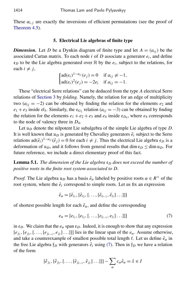These  $\alpha_{i,j}$  are exactly the inversions of efficient permutations (see the proof of [Theorem 4.5\)](#page-11-0).

#### 5. Electrical Lie algebras of finite type

*Dimension.* Let *D* be a Dynkin diagram of finite type and let  $A = (a_{ij})$  be the associated Cartan matrix. To each node *i* of *D* associate a generator *e<sup>i</sup>* , and define  $\mathfrak{e}_D$  to be the Lie algebra generated over  $\mathbb R$  by the  $e_i$ , subject to the relations, for each  $i \neq j$ ,

$$
\begin{cases} \n\text{ad}(e_i)^{1-a_{ij}}(e_j) = 0 & \text{if } a_{ij} \neq -1, \\ \n\text{ad}(e_i)^2(e_j) = -2e_i & \text{if } a_{ij} = -1. \n\end{cases}
$$

These "electrical Serre relations" can be deduced from the type *A* electrical Serre relations of [Section 3](#page-5-2) by *folding*. Namely, the relation for an edge of multiplicity two  $(a_{ij} = -2)$  can be obtained by finding the relation for the elements  $e_2$  and  $e_1 + e_3$  inside  $e_1$ . Similarly, the  $e_{G_2}$  relation ( $a_{ij} = -3$ ) can be obtained by finding the relation for the elements  $e_1 + e_2 + e_3$  and  $e_4$  inside  $e_{D_4}$ , where  $e_4$  corresponds to the node of valency three in *D*4.

Let u*<sup>D</sup>* denote the nilpotent Lie subalgebra of the simple Lie algebra of type *D*. It is well known that  $\mathfrak{u}_D$  is generated by Chevalley generators  $\tilde{e}_i$  subject to the Serre relations  $\text{ad}(\tilde{e}_i)^{1-a_{ij}}(\tilde{e}_j) = 0$  for each  $i \neq j$ . Thus the electrical Lie algebra  $\mathfrak{e}_D$  is a deformation of  $\mathfrak{u}_D$ , and it follows from general results that dim  $\mathfrak{e}_D \leq \dim \mathfrak{u}_D$ . For future reference, we include a direct elementary proof of this fact.

<span id="page-14-0"></span>**Lemma 5.1.** *The dimension of the Lie algebra*  $\epsilon_D$  *does not exceed the number of positive roots in the finite root system associated to D.*

*Proof.* The Lie algebra  $\mathfrak{u}_D$  has a basis  $\tilde{e}_\alpha$  labeled by positive roots  $\alpha \in R^+$  of the root system, where the  $\tilde{e}_i$  correspond to simple roots. Let us fix an expression

<span id="page-14-1"></span>
$$
\tilde{e}_{\alpha} = [\tilde{e}_{i_1}, [\tilde{e}_{i_2}, [\ldots, [\tilde{e}_{i_{l-1}}, \tilde{e}_{i_l}] \ldots]]]
$$

of shortest possible length for each  $\tilde{e}_{\alpha}$ , and define the corresponding

$$
e_{\alpha} = [e_{i_1}, [e_{i_2}, [ \ldots, [e_{i_{l-1}}, e_{i_l}] \ldots ]]] \tag{7}
$$

in  $\mathfrak{e}_D$ . We claim that the  $e_\alpha$  span  $\mathfrak{e}_D$ . Indeed, it is enough to show that any expression  $[e_{j_1}, [e_{j_2}, [..., [e_{j_{\ell-1}}, e_{j_{\ell}}]...]]]$  lies in the linear span of the  $e_{\alpha}$ . Assume otherwise, and take a counterexample of smallest possible total length  $\ell$ . Let us define  $\hat{e}_{\alpha}$  in the free Lie algebra  $f_D$  with generators  $\hat{e}_i$  using [\(7\).](#page-14-1) Then in  $f_D$  we have a relation of the form

$$
[\hat{e}_{j_1}, [\hat{e}_{j_2}, [..., [\hat{e}_{j_{\ell-1}}, \hat{e}_{j_{\ell}}]...]]] - \sum_{\alpha} c_{\alpha} \hat{e}_{\alpha} = \hat{x} \in I
$$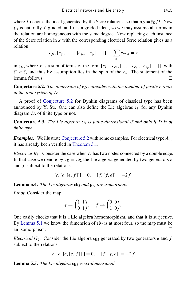where *I* denotes the ideal generated by the Serre relations, so that  $u_D = f_D/I$ . Now  $f_D$  is naturally  $\mathbb{Z}$ -graded, and *I* is a graded ideal, so we may assume all terms in the relation are homogeneous with the same degree. Now replacing each instance of the Serre relation in *x* with the corresponding electrical Serre relation gives us a relation

$$
[e_{j_1}, [e_{j_2}, [..., [e_{j_{\ell-1}}, e_{j_\ell}]...]]] - \sum_{\alpha} c_{\alpha} e_{\alpha} = x
$$

in  $e_D$ , where *x* is a sum of terms of the form  $[e_{k_1}, [e_{k_2}, [ \ldots, [e_{k_{\ell-1}}, e_{k_{\ell'}}] \ldots ]]]$  with  $\ell' < \ell$ , and thus by assumption lies in the span of the *e<sub>α</sub>*. The statement of the lemma follows.

<span id="page-15-0"></span>**Conjecture 5.2.** *The dimension of*  $\varepsilon_D$  *coincides with the number of positive roots in the root system of D.*

A proof of [Conjecture 5.2](#page-15-0) for Dynkin diagrams of classical type has been announced by Yi Su. One can also define the Lie algebras  $\mathfrak{e}_D$  for any Dynkin diagram *D*, of finite type or not.

<span id="page-15-1"></span>**Conjecture 5.3.** The Lie algebra  $e_D$  is finite-dimensional if and only if D is of *finite type.*

*Examples.* We illustrate [Conjecture 5.2](#page-15-0) with some examples. For electrical type  $A_{2n}$ it has already been verified in [Theorem 3.1.](#page-5-1)

*Electrical B*2*.* Consider the case when *D* has two nodes connected by a double edge. In that case we denote by  $\varepsilon_D = \varepsilon b_2$  the Lie algebra generated by two generators *e* and *f* subject to the relations

$$
[e, [e, [e, f]]] = 0, \quad [f, [f, e]] = -2f.
$$

<span id="page-15-2"></span>**Lemma 5.4.** *The Lie algebras*  $\mathfrak{eb}_2$  *and*  $\mathfrak{gl}_2$  *are isomorphic.* 

*Proof.* Consider the map

$$
e \mapsto \begin{pmatrix} 1 & 1 \\ 0 & 1 \end{pmatrix}, \quad f \mapsto \begin{pmatrix} 0 & 0 \\ 1 & 0 \end{pmatrix}.
$$

One easily checks that it is a Lie algebra homomorphism, and that it is surjective. By [Lemma 5.1](#page-14-0) we know the dimension of  $\epsilon \mathfrak{b}_2$  is at most four, so the map must be an isomorphism.  $\Box$ 

*Electrical*  $G_2$ . Consider the Lie algebra  $eg_2$  generated by two generators *e* and *f* subject to the relations

$$
[e, [e, [e, [e, f]]]] = 0, \quad [f, [f, e]] = -2f.
$$

Lemma 5.5. The Lie algebra eg<sub>2</sub> is six-dimensional.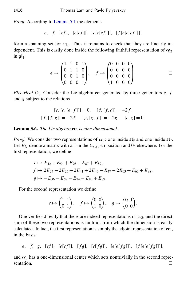*Proof.* According to [Lemma 5.1](#page-14-0) the elements

*e*, *f*, [*ef* ], [*e*[*ef* ]], [*e*[*e*[*ef* ]]], [ *f* [*e*[*e*[*ef* ]]]]

form a spanning set for  $eg_2$ . Thus it remains to check that they are linearly independent. This is easily done inside the following faithful representation of  $\mathfrak{eg}_2$ in  $\mathfrak{gl}_4$ :

$$
e \mapsto \begin{pmatrix} 1 & 1 & 0 & 1 \\ 0 & 1 & 1 & 0 \\ 0 & 0 & 1 & 0 \\ 0 & 0 & 0 & 1 \end{pmatrix}, \quad f \mapsto \begin{pmatrix} 0 & 0 & 0 & 0 \\ 0 & 0 & 0 & 0 \\ 0 & 0 & 0 & 0 \\ 1 & 0 & 0 & 0 \end{pmatrix}.
$$

*Electrical*  $C_3$ . Consider the Lie algebra  $ec_3$  generated by three generators  $e$ ,  $f$ and *g* subject to the relations

$$
[e, [e, f]]] = 0, \quad [f, [f, e]] = -2f,
$$
  

$$
[f, [f, g]] = -2f, \quad [g, [g, f]] = -2g, \quad [e, g] = 0.
$$

Lemma 5.6. *The Lie algebra* ec<sub>3</sub> is nine-dimensional.

*Proof.* We consider two representations of  $ec_3$ : one inside  $\mathfrak{sl}_9$  and one inside  $\mathfrak{sl}_2$ . Let  $E_{ij}$  denote a matrix with a 1 in the  $(i, j)$ -th position and 0s elsewhere. For the first representation, we define

$$
e \mapsto E_{42} + E_{54} + E_{76} + E_{87} + E_{89},
$$
  
\n
$$
f \mapsto 2E_{24} - 2E_{26} + 2E_{41} + 2E_{45} - E_{47} - 2E_{63} + E_{67} + E_{98},
$$
  
\n
$$
g \mapsto -E_{36} - E_{62} - E_{74} - E_{85} + E_{89}.
$$

For the second representation we define

$$
e \mapsto \begin{pmatrix} 1 & 1 \\ 0 & 1 \end{pmatrix}, \quad f \mapsto \begin{pmatrix} 0 & 0 \\ 1 & 0 \end{pmatrix}, \quad g \mapsto \begin{pmatrix} 0 & 1 \\ 0 & 0 \end{pmatrix}.
$$

One verifies directly that these are indeed representations of  $cc_3$ , and the direct sum of these two representations is faithful, from which the dimension is easily calculated. In fact, the first representation is simply the adjoint representation of  $ec_3$ , in the basis

*e*, *f*, *g*, [*ef* ], [*e*[*ef* ]], [ *f g*], [*e*[ *f g*]], [*e*[*e*[ *f g*]]], [ *f* [*e*[*e*[ *f g*]]]],

and  $ec<sub>3</sub>$  has a one-dimensional center which acts nontrivially in the second representation.  $\Box$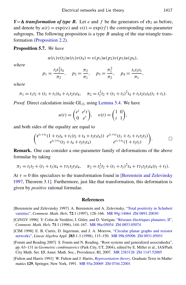*Y*− $\Delta$  *transformation of type B.* Let *e* and *f* be the generators of  $\epsilon$ b<sub>2</sub> as before, and denote by  $u(t) = \exp(te)$  and  $v(t) = \exp(tf)$  the corresponding one-parameter subgroups. The following proposition is a type *B* analog of the star-triangle transformation [\(Proposition 2.2\)](#page-5-3).

#### Proposition 5.7. *We have*

$$
u(t_1)v(t_2)u(t_3)v(t_4) = v(p_1)u(p_2)v(p_3)u(p_4),
$$

*where*

$$
p_1 = \frac{t_2 t_3^2 t_4}{\pi_2}
$$
,  $p_2 = \frac{\pi_2}{\pi_1}$ ,  $p_3 = \frac{\pi_1^2}{\pi_2}$ ,  $p_4 = \frac{t_1 t_2 t_3}{\pi_1}$ ,

*where*

$$
\pi_1 = t_1t_2 + (t_1 + t_3)t_4 + t_1t_2t_3t_4, \quad \pi_2 = t_1^2t_2 + (t_1 + t_3)^2t_4 + t_1t_2t_3t_4(t_1 + t_3).
$$

*Proof.* Direct calculation inside  $GL_2$ , using [Lemma 5.4.](#page-15-2) We have

$$
u(t) = \begin{pmatrix} e^t & e^t t \\ 0 & e^t \end{pmatrix}, \quad v(t) = \begin{pmatrix} 1 & 0 \\ t & 1 \end{pmatrix},
$$

and both sides of the equality are equal to

$$
\begin{pmatrix} e^{t_1+t_3}(1+t_3t_4+t_1(t_2+t_4+t_2t_3t_4)) & e^{t_1+t_3}(t_1+t_3+t_1t_2t_3) \ e^{t_1+t_3}(t_2+t_4+t_2t_3t_4) & e^{t_1+t_3}(1+t_2t_3) \end{pmatrix}.
$$

Remark. One can consider a one-parameter family of deformations of the above formulae by taking

$$
\pi_1 = t_1t_2 + (t_1 + t_3)t_4 + \tau t_1t_2t_3t_4, \quad \pi_2 = t_1^2t_2 + (t_1 + t_3)^2t_4 + \tau t_1t_2t_3t_4(t_1 + t_3).
$$

At  $\tau = 0$  this specializes to the transformation found in [\[Berenstein and Zelevinsky](#page-17-2) [1997,](#page-17-2) Theorem 3.1]. Furthermore, just like that transformation, this deformation is given by *positive* rational formulae.

#### **References**

- <span id="page-17-2"></span>[Berenstein and Zelevinsky 1997] A. Berenstein and A. Zelevinsky, ["Total positivity in Schubert](http://dx.doi.org/10.1007/PL00000363) [varieties",](http://dx.doi.org/10.1007/PL00000363) *Comment. Math. Helv.* 72:1 (1997), 128–166. [MR 99g:14064](http://msp.org/idx/mr/99g:14064) [Zbl 0891.20030](http://msp.org/idx/zbl/0891.20030)
- <span id="page-17-1"></span>[CdVGV 1996] Y. Colin de Verdière, I. Gitler, and D. Vertigan, ["Réseaux électriques planaires, II",](http://dx.doi.org/10.1007/BF02566413) *Comment. Math. Helv.* 71:1 (1996), 144–167. [MR 98a:05054](http://msp.org/idx/mr/98a:05054) [Zbl 0853.05074](http://msp.org/idx/zbl/0853.05074)
- <span id="page-17-0"></span>[CIM 1998] E. B. Curtis, D. Ingerman, and J. A. Morrow, ["Circular planar graphs and resistor](http://dx.doi.org/10.1016/S0024-3795(98)10087-3) [networks",](http://dx.doi.org/10.1016/S0024-3795(98)10087-3) *Linear Algebra Appl.* 283:1-3 (1998), 115–150. [MR 99k:05096](http://msp.org/idx/mr/99k:05096) [Zbl 0931.05051](http://msp.org/idx/zbl/0931.05051)

<span id="page-17-4"></span>[Fomin and Reading 2007] S. Fomin and N. Reading, "Root systems and generalized associahedra", pp. 63–131 in *Geometric combinatorics* (Park City, UT, 2004), edited by E. Miller et al., IAS/Park City Math. Ser. 13, Amer. Math. Soc., Providence, RI, 2007. [MR 2383126](http://msp.org/idx/mr/2383126) [Zbl 1147.52005](http://msp.org/idx/zbl/1147.52005)

<span id="page-17-3"></span>[Fulton and Harris 1991] W. Fulton and J. Harris, *[Representation theory](http://dx.doi.org/10.1007/978-1-4612-0979-9)*, Graduate Texts in Mathematics 129, Springer, New York, 1991. [MR 93a:20069](http://msp.org/idx/mr/93a:20069) [Zbl 0744.22001](http://msp.org/idx/zbl/0744.22001)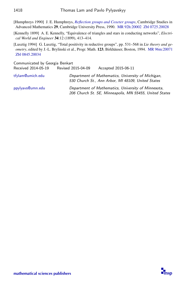<span id="page-18-2"></span>[Humphreys 1990] J. E. Humphreys, *[Reflection groups and Coxeter groups](http://dx.doi.org/10.1017/CBO9780511623646)*, Cambridge Studies in Advanced Mathematics 29, Cambridge University Press, 1990. [MR 92h:20002](http://msp.org/idx/mr/92h:20002) [Zbl 0725.20028](http://msp.org/idx/zbl/0725.20028)

<span id="page-18-0"></span>[Kennelly 1899] A. E. Kennelly, "Equivalence of triangles and stars in conducting networks", *Electrical World and Engineer* 34:12 (1899), 413–414.

<span id="page-18-1"></span>[Lusztig 1994] G. Lusztig, "Total positivity in reductive groups", pp. 531–568 in *Lie theory and geometry*, edited by J.-L. Brylinski et al., Progr. Math. 123, Birkhäuser, Boston, 1994. [MR 96m:20071](http://msp.org/idx/mr/96m:20071) [Zbl 0845.20034](http://msp.org/idx/zbl/0845.20034)

Communicated by Georgia Benkart

Received 2014-05-19 Revised 2015-04-09 Accepted 2015-06-11 [tfylam@umich.edu](mailto:tfylam@umich.edu) Department of Mathematics, University of Michigan, 530 Church St., Ann Arbor, MI 48109, United States [ppylyavs@umn.edu](mailto:ppylyavs@umn.edu) Department of Mathematics, University of Minnesota, 206 Church St. SE, Minneapolis, MN 55455, United States

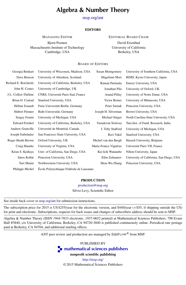#### Algebra & Number Theory

[msp.org/ant](http://dx.doi.org/10.2140/ant)

#### **EDITORS**

MANAGING EDITOR

Bjorn Poonen Massachusetts Institute of Technology Cambridge, USA

EDITORIAL BOARD CHAIR

David Eisenbud University of California Berkeley, USA

#### BOARD OF EDITORS

| Georgia Benkart       | University of Wisconsin, Madison, USA    | <b>Susan Montgomery</b> | University of Southern California, USA   |
|-----------------------|------------------------------------------|-------------------------|------------------------------------------|
| Dave Benson           | University of Aberdeen, Scotland         | Shigefumi Mori          | RIMS, Kyoto University, Japan            |
| Richard E. Borcherds  | University of California, Berkeley, USA  | Raman Parimala          | Emory University, USA                    |
| John H. Coates        | University of Cambridge, UK              | Jonathan Pila           | University of Oxford, UK                 |
| J-L. Colliot-Thélène  | CNRS, Université Paris-Sud, France       | <b>Anand Pillay</b>     | University of Notre Dame, USA            |
| Brian D. Conrad       | Stanford University, USA                 | Victor Reiner           | University of Minnesota, USA             |
| Hélène Esnault        | Freie Universität Berlin, Germany        | Peter Sarnak            | Princeton University, USA                |
| Hubert Flenner        | Ruhr-Universität, Germany                | Joseph H. Silverman     | Brown University, USA                    |
| Sergey Fomin          | University of Michigan, USA              | Michael Singer          | North Carolina State University, USA     |
| <b>Edward Frenkel</b> | University of California, Berkeley, USA  | Vasudevan Srinivas      | Tata Inst. of Fund. Research, India      |
| Andrew Granville      | Université de Montréal, Canada           | J. Toby Stafford        | University of Michigan, USA              |
| Joseph Gubeladze      | San Francisco State University, USA      | Ravi Vakil              | Stanford University, USA                 |
| Roger Heath-Brown     | Oxford University, UK                    | Michel van den Bergh    | Hasselt University, Belgium              |
| Craig Huneke          | University of Virginia, USA              | Marie-France Vignéras   | Université Paris VII, France             |
| Kiran S. Kedlaya      | Univ. of California, San Diego, USA      | Kei-Ichi Watanabe       | Nihon University, Japan                  |
| János Kollár          | Princeton University, USA                | Efim Zelmanov           | University of California, San Diego, USA |
| Yuri Manin            | Northwestern University, USA             | Shou-Wu Zhang           | Princeton University, USA                |
| Philippe Michel       | École Polytechnique Fédérale de Lausanne |                         |                                          |

#### PRODUCTION

[production@msp.org](mailto:production@msp.org) Silvio Levy, Scientific Editor

| See inside back cover or msp.org/ant for submission instructions. |  |  |  |  |  |  |  |
|-------------------------------------------------------------------|--|--|--|--|--|--|--|
|                                                                   |  |  |  |  |  |  |  |

The subscription price for 2015 is US \$255/year for the electronic version, and \$440/year (+\$55, if shipping outside the US) for print and electronic. Subscriptions, requests for back issues and changes of subscribers address should be sent to MSP.

Algebra & Number Theory (ISSN 1944-7833 electronic, 1937-0652 printed) at Mathematical Sciences Publishers, 798 Evans Hall #3840, c/o University of California, Berkeley, CA 94720-3840 is published continuously online. Periodical rate postage paid at Berkeley, CA 94704, and additional mailing offices.

ANT peer review and production are managed by EditFLOW<sup>®</sup> from MSP.

PUBLISHED BY

**To [mathematical sciences publishers](http://msp.org/)** 

nonprofit scientific publishing

<http://msp.org/> © 2015 Mathematical Sciences Publishers